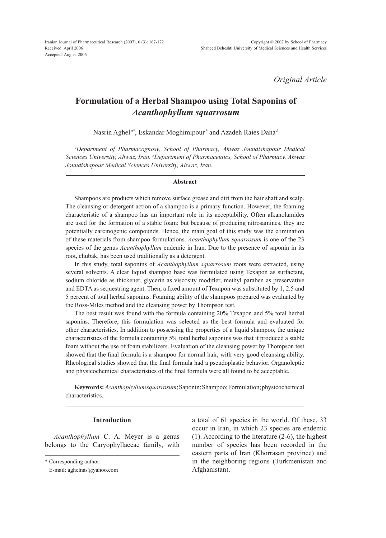*Original Article*

# **Formulation of a Herbal Shampoo using Total Saponins of**  *Acanthophyllum squarrosum*

Nasrin Aghel *a\**, Eskandar Moghimipour *<sup>b</sup>* and Azadeh Raies Dana *<sup>b</sup>*

*a Department of Pharmacognosy, School of Pharmacy, Ahwaz Joundishapour Medical Sciences University, Ahwaz, Iran. b Department of Pharmaceutics, School of Pharmacy, Ahwaz Joundishapour Medical Sciences University, Ahwaz, Iran.*

#### **Abstract**

Shampoos are products which remove surface grease and dirt from the hair shaft and scalp. The cleansing or detergent action of a shampoo is a primary function. However, the foaming characteristic of a shampoo has an important role in its acceptability. Often alkanolamides are used for the formation of a stable foam; but because of producing nitrosamines, they are potentially carcinogenic compounds. Hence, the main goal of this study was the elimination of these materials from shampoo formulations. *Acanthophyllum squarrosum* is one of the 23 species of the genus *Acanthophyllum* endemic in Iran. Due to the presence of saponin in its root, chubak, has been used traditionally as a detergent.

In this study, total saponins of *Acanthophyllum squarrosum* roots were extracted, using several solvents. A clear liquid shampoo base was formulated using Texapon as surfactant, sodium chloride as thickener, glycerin as viscosity modifier, methyl paraben as preservative and EDTA as sequestring agent. Then, a fixed amount of Texapon was substituted by 1, 2.5 and 5 percent of total herbal saponins. Foaming ability of the shampoos prepared was evaluated by the Ross-Miles method and the cleansing power by Thompson test.

The best result was found with the formula containing 20% Texapon and 5% total herbal saponins. Therefore, this formulation was selected as the best formula and evaluated for other characteristics. In addition to possessing the properties of a liquid shampoo, the unique characteristics of the formula containing 5% total herbal saponins was that it produced a stable foam without the use of foam stabilizers. Evaluation of the cleansing power by Thompson test showed that the final formula is a shampoo for normal hair, with very good cleansing ability. Rheological studies showed that the final formula had a pseudoplastic behavior. Organoleptic and physicochemical characteristics of the final formula were all found to be acceptable.

**Keywords:***Acanthophyllum squarrosum*; Saponin; Shampoo; Formulation; physicochemical characteristics.

## **Introduction**

*Acanthophyllum* C. A. Meyer is a genus belongs to the Caryophyllaceae family, with

a total of 61 species in the world. Of these, 33 occur in Iran, in which 23 species are endemic (1). According to the literature (2-6), the highest number of species has been recorded in the eastern parts of Iran (Khorrasan province) and in the neighboring regions (Turkmenistan and Afghanistan).

<sup>\*</sup> Corresponding author:

E-mail: aghelnas@yahoo.com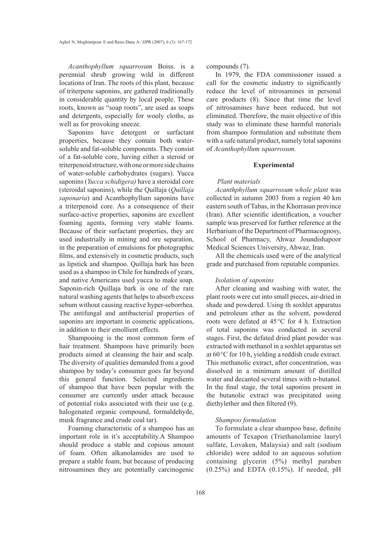*Acanthophyllum squarrosum* Boiss. is a perennial shrub growing wild in different locations of Iran. The roots of this plant, because of triterpene saponins, are gathered traditionally in considerable quantity by local people. These roots, known as "soap roots", are used as soaps and detergents, especially for wooly cloths, as well as for provoking sneeze.

Saponins have detergent or surfactant properties, because they contain both watersoluble and fat-soluble components. They consist of a fat-soluble core, having either a steroid or triterpenoid structure, with one or more side chains of water-soluble carbohydrates (sugars). Yucca saponins (*Yucca schidigera)* have a steroidal core (steroidal saponins), while the Quillaja (*Quillaja saponaria*) and Acanthophyllum saponins have a triterpenoid core. As a consequence of their surface-active properties, saponins are excellent foaming agents, forming very stable foams. Because of their surfactant properties, they are used industrially in mining and ore separation, in the preparation of emulsions for photographic films, and extensively in cosmetic products, such as lipstick and shampoo. Quillaja bark has been used as a shampoo in Chile for hundreds of years, and native Americans used yucca to make soap. Saponin-rich Quillaja bark is one of the rare natural washing agents that helps to absorb excess sebum without causing reactive hyper-seborrhea. The antifungal and antibacterial properties of saponins are important in cosmetic applications, in addition to their emollient effects.

Shampooing is the most common form of hair treatment. Shampoos have primarily been products aimed at cleansing the hair and scalp. The diversity of qualities demanded from a good shampoo by today's consumer goes far beyond this general function. Selected ingredients of shampoo that have been popular with the consumer are currently under attack because of potential risks associated with their use (e.g. halogenated organic compound, formaldehyde, musk fragrance and crude coal tar).

Foaming characteristic of a shampoo has an important role in it's acceptability.A Shampoo should produce a stable and copious amount of foam. Often alkanolamides are used to prepare a stable foam, but because of producing nitrosamines they are potentially carcinogenic

compounds (7).

In 1979, the FDA commissioner issued a call for the cosmetic industry to significantly reduce the level of nitrosamines in personal care products (8). Since that time the level of nitrosamines have been reduced, but not eliminated. Therefore, the main objective of this study was to eliminate these harmful materials from shampoo formulation and substitute them with a safe natural product, namely total saponins of *Acanthophyllum squarrosum.* 

## **Experimental**

#### *Plant materials*

*Acanthphyllum squarrosum whole plant* was collected in autumn 2003 from a region 40 km eastern south of Tabas, in the Khorrasan province (Iran). After scientific identification, a voucher sample was preserved for further reference at the Herbarium of the Department of Pharmacognosy, School of Pharmacy, Ahwaz Joundishapoor Medical Sciences University, Ahwaz, Iran.

All the chemicals used were of the analytical grade and purchased from reputable companies.

## *Isolation of saponins*

After cleaning and washing with water, the plant roots were cut into small pieces, air-dried in shade and powdered. Using th soxhlet apparatus and petroleum ether as the solvent, powdered roots were defated at 45°C for 4 h. Extraction of total saponins was conducted in several stages. First, the defated dried plant powder was extracted with methanol in a soxhlet apparatus set at 60°C for 10 h, yielding a reddish crude extract. This methanolic extract, after concentration, was dissolved in a minimum amount of distilled water and decanted several times with n-butanol. In the final stage, the total saponins present in the butanolic extract was precipitated using diethylether and then filtered (9).

## *Shampoo formulation*

To formulate a clear shampoo base, definite amounts of Texapon (Triethanolamine lauryl sulfate, Lovaken, Malaysia) and salt (sodium chloride) were added to an aqueous solution containing glycerin (5%) methyl paraben (0.25%) and EDTA (0.15%). If needed, pH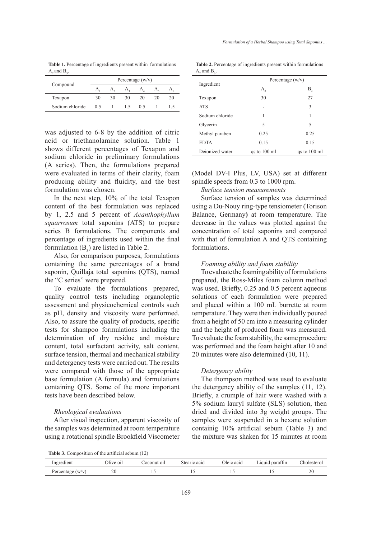**Table 1.** Percentage of ingredients present within formulations  $A_2$  and  $B_3$ .

| Compound        | Percentage $(w/v)$ |    |     |    |    |    |  |
|-----------------|--------------------|----|-----|----|----|----|--|
|                 |                    |    |     |    |    |    |  |
| Texapon         | 30                 | 30 | 30  | 20 | 20 | 20 |  |
| Sodium chloride | 05                 |    | 15. | 05 |    |    |  |

was adjusted to 6-8 by the addition of citric acid or triethanolamine solution. Table 1 shows different percentages of Texapon and sodium chloride in preliminary formulations (A series). Then, the formulations prepared were evaluated in terms of their clarity, foam producing ability and fluidity, and the best formulation was chosen.

In the next step, 10% of the total Texapon content of the best formulation was replaced by 1, 2.5 and 5 percent of *Acanthophyllum squarrosum* total saponins (ATS) to prepare series B formulations. The components and percentage of ingredients used within the final formulation  $(B_3)$  are listed in Table 2.

Also, for comparison purposes, formulations containing the same percentages of a brand saponin, Quillaja total saponins (QTS), named the "C series" were prepared.

To evaluate the formulations prepared, quality control tests including organoleptic assessment and physicochemical controls such as pH, density and viscosity were performed. Also, to assure the quality of products, specific tests for shampoo formulations including the determination of dry residue and moisture content, total surfactant activity, salt content, surface tension, thermal and mechanical stability and detergency tests were carried out. The results were compared with those of the appropriate base formulation (A formula) and formulations containing QTS. Some of the more important tests have been described below.

## *Rheological evaluations*

After visual inspection, apparent viscosity of the samples was determined at room temperature using a rotational spindle Brookfield Viscometer

**Table 2.** Percentage of ingredients present within formulations  $A_2$  and  $B_3$ .

|                 | Percentage $(w/v)$ |              |  |  |  |
|-----------------|--------------------|--------------|--|--|--|
| Ingredient      | А,                 | $B_{3}$      |  |  |  |
| Texapon         | 30                 | 27           |  |  |  |
| <b>ATS</b>      |                    | 3            |  |  |  |
| Sodium chloride | 1                  | 1            |  |  |  |
| Glycerin        | 5                  | 5            |  |  |  |
| Methyl paraben  | 0.25               | 0.25         |  |  |  |
| <b>EDTA</b>     | 0.15               | 0.15         |  |  |  |
| Dejonized water | qs to 100 ml       | qs to 100 ml |  |  |  |

(Model DV-I Plus, LV, USA) set at different spindle speeds from 0.3 to 1000 rpm.

## *Surface tension measurements*

Surface tension of samples was determined using a Du-Nouy ring-type tensiometer (Torison Balance, Germany**)** at room temperature. The decrease in the values was plotted against the concentration of total saponins and compared with that of formulation A and QTS containing formulations.

## *Foaming ability and foam stability*

To evaluate the foaming ability of formulations prepared, the Ross-Miles foam column method was used. Briefly, 0.25 and 0.5 percent aqueous solutions of each formulation were prepared and placed within a 100 mL burrette at room temperature. They were then individually poured from a height of 50 cm into a measuring cylinder and the height of produced foam was measured. To evaluate the foam stability, the same procedure was performed and the foam height after 10 and 20 minutes were also determined (10, 11).

## *Detergency ability*

The thompson method was used to evaluate the detergency ability of the samples (11, 12). Briefly, a crumple of hair were washed with a 5% sodium lauryl sulfate (SLS) solution, then dried and divided into 3g weight groups. The samples were suspended in a hexane solution containig 10% artificial sebum (Table 3) and the mixture was shaken for 15 minutes at room

**Table 3.** Composition of the artificial sebum (12)

| Ingredient         | Dlive oil | coconut oil | Stearic acid | Oleic acid | Liquid paraffin | holesterol  |
|--------------------|-----------|-------------|--------------|------------|-----------------|-------------|
| Percentage $(w/v)$ | 20        |             |              |            |                 | ີ<br>$\sim$ |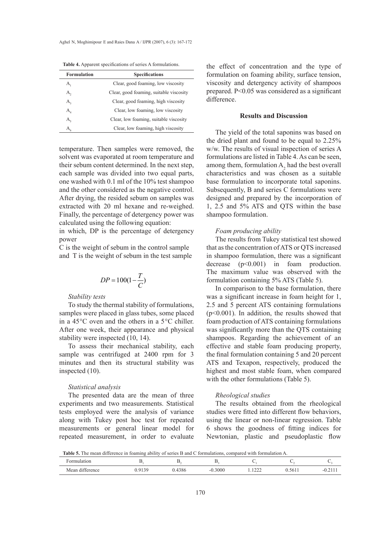| <b>Formulation</b>          | <b>Specifications</b>                   |
|-----------------------------|-----------------------------------------|
| А,                          | Clear, good foaming, low viscosity      |
| А,                          | Clear, good foaming, suitable viscosity |
| $A_{\rm a}$                 | Clear, good foaming, high viscosity     |
| $A_{\scriptscriptstyle{A}}$ | Clear, low foaming, low viscosity       |
| A <sub>5</sub>              | Clear, low foaming, suitable viscosity  |
| A,                          | Clear, low foaming, high viscosity      |

**Table 4.** Apparent specifications of series A formulations.

temperature. Then samples were removed, the solvent was evaporated at room temperature and their sebum content determined. In the next step, each sample was divided into two equal parts, one washed with 0.1 ml of the 10% test shampoo and the other considered as the negative control. After drying, the resided sebum on samples was extracted with 20 ml hexane and re-weighed. Finally, the percentage of detergency power was calculated using the following equation:

in which, DP is the percentage of detergency power

C is the weight of sebum in the control sample and T is the weight of sebum in the test sample

$$
DP = 100(1 - \frac{T}{C})
$$

## *Stability tests*

To study the thermal stability of formulations, samples were placed in glass tubes, some placed in a 45°C oven and the others in a 5°C chiller. After one week, their appearance and physical stability were inspected (10, 14).

To assess their mechanical stability, each sample was centrifuged at 2400 rpm for 3 minutes and then its structural stability was inspected (10).

## *Statistical analysis*

The presented data are the mean of three experiments and two measurements. Statistical tests employed were the analysis of variance along with Tukey post hoc test for repeated measurements or general linear model for repeated measurement, in order to evaluate the effect of concentration and the type of formulation on foaming ability, surface tension, viscosity and detergency activity of shampoos prepared. P<0.05 was considered as a significant difference.

## **Results and Discussion**

The yield of the total saponins was based on the dried plant and found to be equal to 2.25% w/w. The results of visual inspection of series A formulations are listed in Table 4. As can be seen, among them, formulation  $A_2$  had the best overall characteristics and was chosen as a suitable base formulation to incorporate total saponins. Subsequently, B and series C formulations were designed and prepared by the incorporation of 1, 2.5 and 5% ATS and QTS within the base shampoo formulation.

## *Foam producing ability*

The results from Tukey statistical test showed that as the concentration of ATS or QTS increased in shampoo formulation, there was a significant decrease (p<0.001) in foam production. The maximum value was observed with the formulation containing 5% ATS (Table 5).

In comparison to the base formulation, there was a significant increase in foam height for 1, 2.5 and 5 percent ATS containing formulations (p<0.001). In addition, the results showed that foam production of ATS containing formulations was significantly more than the QTS containing shampoos. Regarding the achievement of an effective and stable foam producing property, the final formulation containing 5 and 20 percent ATS and Texapon, respectively, produced the highest and most stable foam, when compared with the other formulations (Table 5).

## *Rheological studies*

The results obtained from the rheological studies were fitted into different flow behaviors, using the linear or non-linear regression. Table 6 shows the goodness of fitting indices for Newtonian, plastic and pseudoplastic flow

**Table 5.** The mean difference in foaming ability of series B and C formulations, compared with formulation A.

| -<br>COMMAND.<br>ulation |                    |                   |                    |                  |        |                 |
|--------------------------|--------------------|-------------------|--------------------|------------------|--------|-----------------|
| .<br>Mear<br>difference  | <br>. . <i>. .</i> | $\Omega$<br>120 O | 3000<br>$\sim$ $-$ | $\sim$<br>1.1222 | 0.5611 | $\sim$ $-$<br>. |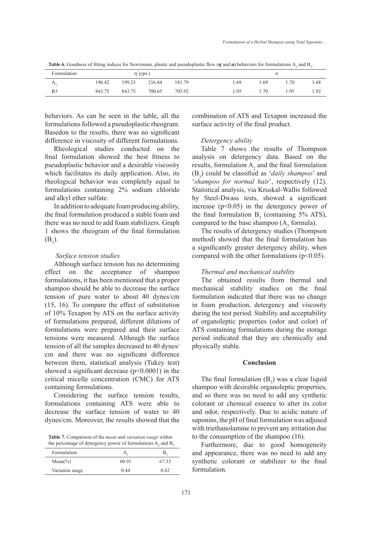**Table 6.** Goodness of fitting indices for Newtonian, plastic and pseudoplastic flow  $(\eta'$  and  $n)$  behaviors for formulations A<sub>2</sub> and B<sub>3</sub>.

| Formulation    | $\eta'$ (cps.) |        |        |        |      |      |      |      |
|----------------|----------------|--------|--------|--------|------|------|------|------|
| $A_{\gamma}$   | 196.42         | 199.23 | 216.84 | 181.79 | .69  | L 69 | .70  | 1.68 |
| B <sub>3</sub> | 843.75         | 843.75 | 700.65 | 705.92 | 1.95 | 1.70 | 1.95 | 1.92 |

behaviors. As can be seen in the table, all the formulations followed a pseudoplastic rheogram. Basedon to the results, there was no significant difference in viscosity of different formulations.

Rheological studies conducted on the final formulation showed the best fitness to pseudoplastic behavior and a desirable viscosity which facilitates its daily application. Also, its rheological behavior was completely equal to formulations containing 2% sodium chloride and alkyl ether sulfate.

In addition to adequate foam producing ability, the final formulation produced a stable foam and there was no need to add foam stabilizers. Graph 1 shows the rheogram of the final formulation  $(B_3)$ .

## *Surface tension studies*

Although surface tension has no determining effect on the acceptance of shampoo formulations, it has been mentioned that a proper shampoo should be able to decrease the surface tension of pure water to about 40 dynes/cm (15, 16). To compare the effect of substitution of 10% Texapon by ATS on the surface activity of formulations prepared, different dilutions of formulations were prepared and their surface tensions were measured. Although the surface tension of all the samples decreased to 40 dynes/ cm and there was no significant difference between them, statistical analysis (Tukey test) showed a significant decrease  $(p<0.0001)$  in the critical micelle concentration (CMC) for ATS containing formulations.

Considering the surface tension results, formulations containing ATS were able to decrease the surface tension of water to 40 dynes/cm. Moreover, the results showed that the

**Table 7.** Comparison of the *mean* and *variation range* within the percentage of detergency power of formulations  $A_2$  and  $B_3$ .

| Formulation     |       |       |
|-----------------|-------|-------|
| $Mean(\%)$      | 60.91 | 67.33 |
| Variation range | 0.44  | 0.82  |
|                 |       |       |

combination of ATS and Texapon increased the surface activity of the final product.

## *Detergency ability*

Table 7 shows the results of Thompson analysis on detergency data. Based on the results, formulation  $A_2$  and the final formulation  $(B_3)$  could be classified as *'daily shampoo'* and '*shampoo for normal hair*', respectively (12). Statistical analysis, via Kruskal-Wallis followed by Steel-Dwass tests, showed a significant increase  $(p<0.05)$  in the detergency power of the final formulation  $B_3$  (containing 5% ATS), compared to the base shampoo  $(A_2 \text{ formula})$ .

The results of detergency studies (Thompson method) showed that the final formulation has a significantly greater detergency ability, when compared with the other formulations  $(p<0.05)$ .

### *Thermal and mechanical stability*

The obtained results from thermal and mechanical stability studies on the final formulation indicated that there was no change in foam production, detergency and viscosity during the test period. Stability and acceptability of organoleptic properties (odor and color) of ATS containing formulations during the storage period indicated that they are chemically and physically stable.

## **Conclusion**

The final formulation  $(B_3)$  was a clear liquid shampoo with desirable organoleptic properties, and so there was no need to add any synthetic colorant or chemical essence to alter its color and odor, respectively. Due to acidic nature of saponins, the pH of final formulation was adjused with triethanolamine to prevent any irritation due to the consumption of the shampoo (16).

Furthermore, due to good homogeneity and appearance, there was no need to add any synthetic colorant or stabilizer to the final formulation.